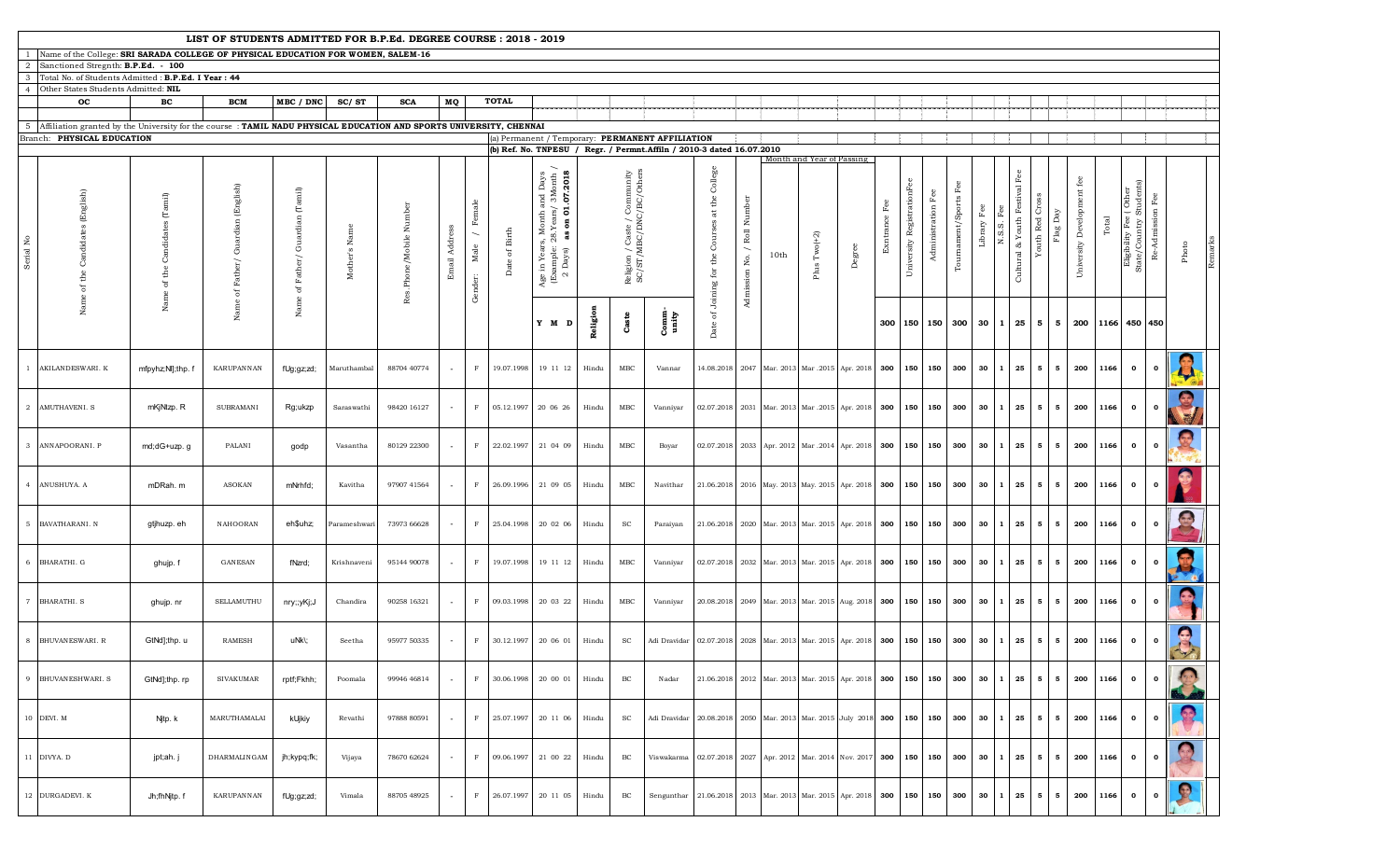| LIST OF STUDENTS ADMITTED FOR B.P.Ed. DEGREE COURSE : 2018 - 2019<br>Name of the College: SRI SARADA COLLEGE OF PHYSICAL EDUCATION FOR WOMEN, SALEM-16<br>Sanctioned Stregnth: B.P.Ed. - 100<br>2 |                                                                                                                       |                                                                          |                                          |                                  |               |                         |                          |                                                       |                          |                                                                                                                                                                                                        |          |                                                         |                                                                       |                                                           |                                           |      |                                                                         |        |               |                               |                |                        |                            |                                              |                             |                               |       |                                                 |                   |               |  |
|---------------------------------------------------------------------------------------------------------------------------------------------------------------------------------------------------|-----------------------------------------------------------------------------------------------------------------------|--------------------------------------------------------------------------|------------------------------------------|----------------------------------|---------------|-------------------------|--------------------------|-------------------------------------------------------|--------------------------|--------------------------------------------------------------------------------------------------------------------------------------------------------------------------------------------------------|----------|---------------------------------------------------------|-----------------------------------------------------------------------|-----------------------------------------------------------|-------------------------------------------|------|-------------------------------------------------------------------------|--------|---------------|-------------------------------|----------------|------------------------|----------------------------|----------------------------------------------|-----------------------------|-------------------------------|-------|-------------------------------------------------|-------------------|---------------|--|
|                                                                                                                                                                                                   |                                                                                                                       |                                                                          |                                          |                                  |               |                         |                          |                                                       |                          |                                                                                                                                                                                                        |          |                                                         |                                                                       |                                                           |                                           |      |                                                                         |        |               |                               |                |                        |                            |                                              |                             |                               |       |                                                 |                   |               |  |
|                                                                                                                                                                                                   |                                                                                                                       |                                                                          |                                          |                                  |               |                         |                          |                                                       |                          |                                                                                                                                                                                                        |          |                                                         |                                                                       |                                                           |                                           |      |                                                                         |        |               |                               |                |                        |                            |                                              |                             |                               |       |                                                 |                   |               |  |
| 3                                                                                                                                                                                                 | Total No. of Students Admitted: B.P.Ed. I Year: 44<br>Other States Students Admitted: NIL                             |                                                                          |                                          |                                  |               |                         |                          |                                                       |                          |                                                                                                                                                                                                        |          |                                                         |                                                                       |                                                           |                                           |      |                                                                         |        |               |                               |                |                        |                            |                                              |                             |                               |       |                                                 |                   |               |  |
|                                                                                                                                                                                                   | oc                                                                                                                    | $_{\rm BC}$                                                              | <b>BCM</b>                               | MBC / DNC                        | SC/ST         | <b>SCA</b>              | MQ                       |                                                       | <b>TOTAL</b>             |                                                                                                                                                                                                        |          |                                                         |                                                                       |                                                           |                                           |      |                                                                         |        |               |                               |                |                        |                            |                                              |                             |                               |       |                                                 |                   |               |  |
|                                                                                                                                                                                                   |                                                                                                                       |                                                                          |                                          |                                  |               |                         |                          |                                                       |                          |                                                                                                                                                                                                        |          |                                                         |                                                                       |                                                           |                                           |      |                                                                         |        |               |                               |                |                        |                            |                                              |                             |                               |       |                                                 |                   |               |  |
|                                                                                                                                                                                                   | 5 Affiliation granted by the University for the course : TAMIL NADU PHYSICAL EDUCATION AND SPORTS UNIVERSITY, CHENNAI |                                                                          |                                          |                                  |               |                         |                          |                                                       |                          |                                                                                                                                                                                                        |          |                                                         |                                                                       |                                                           |                                           |      |                                                                         |        |               |                               |                |                        |                            |                                              |                             |                               |       |                                                 |                   |               |  |
|                                                                                                                                                                                                   | Branch: PHYSICAL EDUCATION                                                                                            |                                                                          |                                          |                                  |               |                         |                          |                                                       |                          |                                                                                                                                                                                                        |          |                                                         | (a) Permanent / Temporary: PERMANENT AFFILIATION                      |                                                           |                                           |      |                                                                         |        |               |                               |                |                        |                            |                                              |                             |                               |       |                                                 |                   |               |  |
|                                                                                                                                                                                                   |                                                                                                                       |                                                                          |                                          |                                  |               |                         |                          |                                                       |                          |                                                                                                                                                                                                        |          |                                                         | (b) Ref. No. TNPESU / Regr. / Permnt.Affiln / 2010-3 dated 16.07.2010 |                                                           |                                           |      |                                                                         |        |               |                               |                |                        |                            |                                              |                             |                               |       |                                                 |                   |               |  |
| Serial No                                                                                                                                                                                         | Candida<br>₩                                                                                                          | $\left(\mathrm{Tamil}\right)$<br>Candidates<br>$_{\rm the}$<br>ð<br>Name | (English)<br>Guardian<br>Name of Father/ | Guardian (Tamil)<br>of $Father/$ | Mother's Name | Res.Phone/Mobile Number | Email Address            | Female<br>$\overline{\phantom{a}}$<br>Male<br>Gender: | of ${\rm Birth}$<br>Date | Month and Days<br>$8.1$ Years/ $3$ Month /<br>$\bf{s}$ on $\bf{01.07.2018}$<br>Month a<br>as.<br>28.<br>တၳ<br>$\begin{array}{c} \text{Age in Year:}\\ \text{(Example: } \\ \text{2 Days)} \end{array}$ |          | Religion / Caste / Community<br>SC/ST/MBC/DNC/BC/Others |                                                                       | College<br>Courses at the<br>Date of Joining for the      | Number<br>/ ${\tt Roll}$<br>Admission No. | 10th | Month and Year of Passing<br>Plus $Two(+2)$                             | Degree | Exntrance Fee | RegistrationFee<br>University | Administration | Fee<br>Tournament/Spor | Fee<br>Library<br>U.<br>U. | $_{\rm Fee}$<br>& Youth Festival<br>Cultural | Youth Red Cross<br>Flag Day | fee<br>University Development | Total | Eligibility Fee (Other<br>State/Country Student | ত<br>Re-Admission | ${\tt Photo}$ |  |
|                                                                                                                                                                                                   |                                                                                                                       |                                                                          |                                          | Name                             |               |                         |                          |                                                       |                          | Y M D                                                                                                                                                                                                  | Religion | Caste                                                   | Comm-<br>unity                                                        |                                                           |                                           |      |                                                                         |        |               | 300 150 150 300               |                |                        |                            | $30 \mid 1 \mid 25 \mid$                     |                             | 5 5 200                       |       | 1166 450 450                                    |                   |               |  |
|                                                                                                                                                                                                   | <b>AKILANDESWARI, K</b>                                                                                               | mfpyhz;Nl];thp. f                                                        | KARUPANNAN                               | fUg;gz;zd;                       | Maruthambal   | 88704 40774             |                          | F                                                     | 19.07.1998               | 19 11 12                                                                                                                                                                                               | Hindu    | $_{\text{MBC}}$                                         | Vannar                                                                |                                                           |                                           |      | 14.08.2018   2047   Mar. 2013   Mar. 2015   Apr. 2018   300   150   150 |        |               |                               |                | 300                    | $30 \mid 1$                | 25                                           | 5 <sub>5</sub>              | 5<br>200                      |       | 1166<br>$\mathbf{o}$                            | $\mathbf{o}$      |               |  |
|                                                                                                                                                                                                   | 2 AMUTHAVENI. S                                                                                                       | mKjNtzp. R                                                               | <b>SUBRAMANI</b>                         | Rg;ukzp                          | Saraswathi    | 98420 16127             |                          | $\mathbf F$                                           | 05.12.1997               | 20 06 26                                                                                                                                                                                               | Hindu    | $_{\text{MBC}}$                                         | Vanniyar                                                              |                                                           |                                           |      | 02.07.2018 2031 Mar. 2013 Mar. 2015 Apr. 2018 300                       |        |               | 150 150                       |                | 300                    | 30                         | 25                                           | 5                           | 5 <sub>5</sub><br>200         |       | 1166<br>$\bullet$                               | $\mathbf{o}$      | S             |  |
|                                                                                                                                                                                                   | 3 ANNAPOORANI. P                                                                                                      | md;dG+uzp.g                                                              | PALANI                                   | godp                             | Vasantha      | 80129 22300             |                          | F                                                     | 22.02.1997               | 21 04 09                                                                                                                                                                                               | Hindu    | $_{\text{MBC}}$                                         | Boyar                                                                 | 02.07.2018                                                |                                           |      | 2033 Apr. 2012 Mar .2014 Apr. 2018 300                                  |        |               | 150 150                       |                | 300                    | 30<br>- 1                  | 25                                           | 5                           | 200<br>$5^{\circ}$            |       | 1166<br>$\mathbf{o}$                            | $\mathbf{o}$      | E             |  |
|                                                                                                                                                                                                   | 4 ANUSHUYA. A                                                                                                         | mDRah. m                                                                 | <b>ASOKAN</b>                            | mNrhfd;                          | Kavitha       | 97907 41564             |                          | F                                                     | 26.09.1996               | 21 09 05                                                                                                                                                                                               | Hindu    | $_{\text{MBC}}$                                         | Navithar                                                              |                                                           |                                           |      | 21.06.2018 2016 May. 2013 May. 2015 Apr. 2018 300                       |        |               | 150 150                       |                | 300                    | $30 \mid 1$                | 25                                           | $5^{\circ}$                 | 5<br>200                      |       | 1166<br>$\mathbf{0}$                            | $\mathbf{o}$      |               |  |
|                                                                                                                                                                                                   | 5 BAVATHARANI. N                                                                                                      | gtjhuzp. eh                                                              | NAHOORAN                                 | eh\$uhz;                         | Parameshwari  | 73973 66628             |                          | $\;$ F                                                | 25.04.1998               | 20 02 06                                                                                                                                                                                               | Hindu    | SC                                                      | Paraiyan                                                              | 21.06.2018                                                |                                           |      | 2020 Mar. 2013 Mar. 2015 Apr. 2018 300 150 150                          |        |               |                               |                | 300                    | 30                         | 25                                           | 5                           | 5<br>200                      |       | 1166<br>$\mathbf{o}$                            | $\mathbf{0}$      | $\frac{1}{2}$ |  |
|                                                                                                                                                                                                   | 6 BHARATHI. G                                                                                                         | ghujp. f                                                                 | GANESAN                                  | fNzrd;                           | Krishnaveni   | 95144 90078             | $\overline{\phantom{a}}$ | $\mathbf{F}$                                          | 19.07.1998               | 19 11 12                                                                                                                                                                                               | Hindu    | MBC                                                     | Vanniyar                                                              | 02.07.2018                                                |                                           |      | 2032 Mar. 2013 Mar. 2015 Apr. 2018 300                                  |        |               | 150 150                       |                | 300                    | 30                         | 25                                           | 5                           | 5 <sub>5</sub><br>200         |       | 1166<br>$\mathbf{o}$                            | $\mathbf{o}$      | <b>Gre</b>    |  |
|                                                                                                                                                                                                   | 7 BHARATHI.S                                                                                                          | ghujp. nr                                                                | SELLAMUTHU                               | nry;;yKj;J                       | Chandira      | 90258 16321             |                          | $\mathbf{F}$                                          | 09.03.1998               | 20 03 22                                                                                                                                                                                               | Hindu    | $_{\text{MBC}}$                                         | Vanniyar                                                              |                                                           |                                           |      | 20.08.2018 2049 Mar. 2013 Mar. 2015 Aug. 2018 300 150 150               |        |               |                               |                | 300 30 1               |                            | 25                                           | $5^{\circ}$                 | 200<br>5                      |       | 1166<br>$\mathbf{0}$                            | $\mathbf 0$       | $\bullet$     |  |
|                                                                                                                                                                                                   | 8 BHUVAN ESWARI. R                                                                                                    | GtNd];thp. u                                                             | <b>RAMESH</b>                            | uNk\;                            | Seetha        | 95977 50335             |                          | F                                                     | 30.12.1997               | 20 06 01                                                                                                                                                                                               | Hindu    | SC                                                      | Adi Dravidar                                                          | 02.07.2018 2028 Mar. 2013 Mar. 2015 Apr. 2018 300 150 150 |                                           |      |                                                                         |        |               |                               |                | 300                    | $30 \quad 1$               | 25                                           | $\overline{\phantom{0}}$    | 5<br>200                      |       | 1166<br>$\mathbf{o}$                            | $\mathbf{o}$      | $\bullet$     |  |
|                                                                                                                                                                                                   | 9 BHUVAN ESHWARI. S                                                                                                   | GtNd];thp.rp                                                             | SIVAKUMAR                                | rptf;Fkhh;                       | Poomala       | 99946 46814             | $\overline{\phantom{a}}$ | $\mathbf{F}$                                          | 30.06.1998               | 20 00 01                                                                                                                                                                                               | Hindu    | BC                                                      | Nadar                                                                 |                                                           |                                           |      | 21.06.2018 2012 Mar. 2013 Mar. 2015 Apr. 2018 300                       |        |               | 150 150                       |                | 300                    |                            | $30 \mid 1 \mid 25$                          | 5                           | 200<br>5                      |       | 1166<br>$\bullet$                               | $\mathbf{o}$      |               |  |
|                                                                                                                                                                                                   | 10 DEVI. M                                                                                                            | Njtp. k                                                                  | MARUTHAMALAI                             | kUjkiy                           | Revathi       | 97888 80591             | $\overline{\phantom{a}}$ | $\mathbb F$                                           | 25.07.1997               | 20 11 06                                                                                                                                                                                               | Hindu    | SC                                                      | Adi Dravidar                                                          |                                                           |                                           |      | 20.08.2018 2050 Mar. 2013 Mar. 2015 July 2018 300                       |        |               | 150 150                       |                | 300                    | $30 \mid 1$                | 25                                           | 5                           | 200<br>- 5                    |       | 1166<br>$\mathbf{0}$                            | $\circ$ II        | $\mathbf{P}$  |  |
|                                                                                                                                                                                                   | 11 DIVYA. D                                                                                                           | jpt;ah. j                                                                | <b>DHARMALINGAM</b>                      | jh;kypq;fk;                      | Vijaya        | 78670 62624             |                          | F                                                     | 09.06.1997               | 21 00 22                                                                                                                                                                                               | Hindu    | BC                                                      | Viswakarma                                                            | 02.07.2018                                                |                                           |      | 2027 Apr. 2012 Mar. 2014 Nov. 2017 300                                  |        |               | 150 150                       |                | 300                    | 30<br>  1                  | 25                                           | 5                           | 5 <sub>5</sub><br>200         |       | 1166<br>$\mathbf{o}$                            | $\mathbf{0}$      | G             |  |
|                                                                                                                                                                                                   | 12 DURGADEVI. K                                                                                                       | Jh;fhNjtp.f                                                              | KARUPANNAN                               | fUg;gz;zd;                       | Vimala        | 88705 48925             | $\overline{\phantom{a}}$ | $\mathbf F$                                           | 26.07.1997               | 20 11 05                                                                                                                                                                                               | Hindu    | BC                                                      | Sengunthar                                                            |                                                           |                                           |      | 21.06.2018 2013 Mar. 2013 Mar. 2015 Apr. 2018                           |        | 300           | 150 150                       |                | 300                    |                            | $30 \quad 1 \quad 25$                        | 5                           | 200<br>5 <sub>5</sub>         |       | 1166<br>$\mathbf{o}$                            | $\mathbf{0}$      | O.            |  |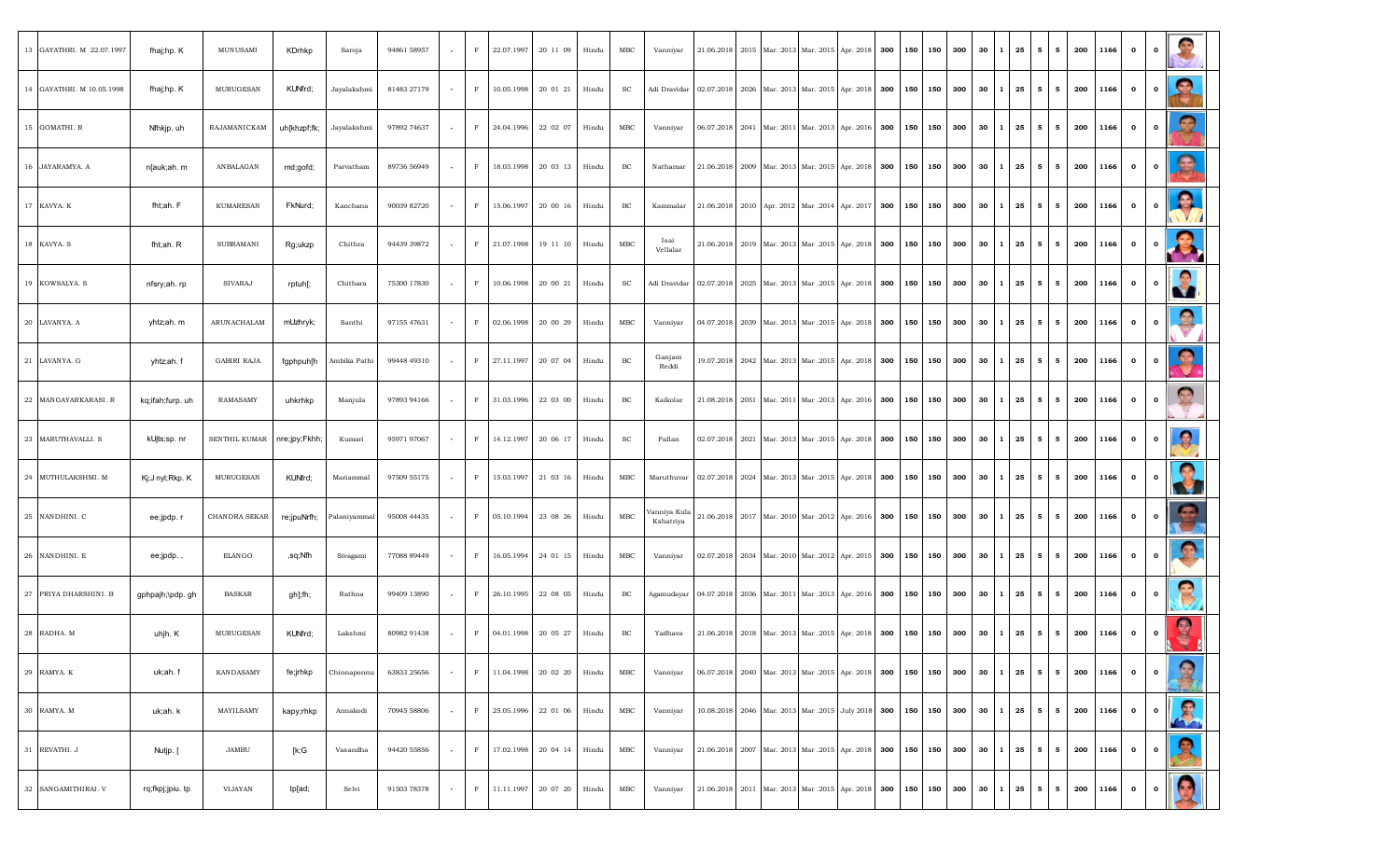| 13 GAYATHRI. M 22.07.1997 | fhaj;hp. K       | <b>MUNUSAMI</b>               | KDrhkp       | Saroja                  | 94861 58957 |        | F           | 22.07.1997 | 20 11 09 | Hindu | MBC             | Vanniyar                  | 21.06.2018 |      | 2015 Mar. 2013 |                                                                                                     | Mar. 2015 Apr. 2018 300 150 150          |     |     | 300 | 30<br>l 1                | 25                 | 5 <sub>5</sub> | 5               | 200 | 1166 | $\mathbf{o}$ | $\mathbf{o}$ |              |
|---------------------------|------------------|-------------------------------|--------------|-------------------------|-------------|--------|-------------|------------|----------|-------|-----------------|---------------------------|------------|------|----------------|-----------------------------------------------------------------------------------------------------|------------------------------------------|-----|-----|-----|--------------------------|--------------------|----------------|-----------------|-----|------|--------------|--------------|--------------|
| 14 GAYATHRI. M 10.05.1998 | fhaj;hp. K       | MURUGESAN                     | KUNfrd;      | Jayalakshmi             | 81483 27179 | $\sim$ | F           | 10.05.1998 | 20 01 21 | Hindu | SC              | Adi Dravidar              | 02.07.2018 |      | 2026 Mar. 2013 |                                                                                                     | Mar. 2015 Apr. 2018 300                  | 150 | 150 | 300 | 30                       | 25<br>$\mathbf{1}$ | 5 <sub>5</sub> | - 5             | 200 | 1166 | $\mathbf{o}$ | $\mathbf{o}$ | $\bullet$    |
| 15 GOMATHI. R             | Nfhkjp.uh        | RAJAMANICKAM                  | uh[khzpf;fk; | Jayalakshmi             | 97892 74637 |        | $\mathbf F$ | 24.04.1996 | 22 02 07 | Hindu | MBC             | Vanniyar                  |            |      |                | 06.07.2018 2041 Mar. 2011 Mar. 2013 Apr. 2016 300 150 150                                           |                                          |     |     | 300 | $30 \mid 1 \mid 25$      |                    |                | $5 \mid 5$      | 200 | 1166 | $\mathbf{o}$ | $\mathbf{o}$ | $\Omega$     |
| 16 JAYARAMYA. A           | n[auk;ah. m      | <b>AN BALAGAN</b>             | md;gofd;     | Parvatham               | 89736 56949 |        | $\mathbf F$ | 18.03.1998 | 20 03 13 | Hindu | BC              | Nathamar                  | 21.06.2018 |      | 2009 Mar. 2013 |                                                                                                     | Mar. 2015 Apr. 2018 300 150 150 300 30 1 |     |     |     |                          | 25                 |                | $5 \quad 5$     | 200 | 1166 | $\mathbf{o}$ | $\mathbf{o}$ | 風            |
| 17 KAVYA. K               | fht;ah. F        | <b>KUMARESAN</b>              | FkNurd;      | Kanchana                | 90039 82720 | $\sim$ | F           | 15.06.1997 | 20 00 16 | Hindu | BC              | Kammalar                  | 21.06.2018 |      |                | 2010   Apr. 2012   Mar. 2014   Apr. 2017   300   150   150                                          |                                          |     |     | 300 | $30 \mid 1 \mid 25$      |                    |                | $5 \mid 5$      | 200 | 1166 | $\mathbf{o}$ | $\mathbf{o}$ | <b>RE</b>    |
| 18 KAVYA. S               | fht;ah. R        | <b>SUBRAMANI</b>              | Rg;ukzp      | Chithra                 | 94439 39872 | $\sim$ | F           | 21.07.1998 | 19 11 10 | Hindu | MBC             | Isai<br>Vellalar          |            |      |                | 21.06.2018   2019   Mar. 2013   Mar. 2015   Apr. 2018   300   150   150   300   30   1   25   5   5 |                                          |     |     |     |                          |                    |                |                 | 200 | 1166 | $\mathbf{0}$ | $\mathbf{o}$ | R            |
| 19 KOWSALYA. S            | nfsry;ah. rp     | SIVARAJ                       | rptuh[;      | Chithara                | 75300 17830 |        | $\mathbf F$ | 10.06.1998 | 20 00 21 | Hindu | SC              | Adi Dravidar              | 02.07.2018 |      | 2025 Mar. 2013 |                                                                                                     | Mar. 2015 Apr. 2018 300 150 150          |     |     | 300 | 30<br>$\mathbf{1}$       | 25                 |                | $5 \quad 5$     | 200 | 1166 | $\mathbf{o}$ | $\mathbf{o}$ |              |
| 20 LAVANYA. A             | yhtz;ah. m       | ARUNACHALAM                   | mUzhryk;     | Santhi                  | 97155 47631 | $\sim$ | $\mathbf F$ | 02.06.1998 | 20 00 29 | Hindu | $_{\rm MBC}$    | Vanniyar                  | 04.07.2018 |      | 2039 Mar. 2013 |                                                                                                     | Mar. 2015 Apr. 2018 300 150 150          |     |     | 300 | 30                       | 25<br>II.          | 5 <sub>5</sub> | - 5             | 200 | 1166 | $\mathbf{o}$ | $\mathbf{o}$ |              |
| 21 LAVANYA. G             | yhtz;ah. f       | <b>GABIRI RAJA</b>            | fgphpuh[h    | Ambika Pathi            | 99448 49310 | $\sim$ | $\mathbf F$ | 27.11.1997 | 20 07 04 | Hindu | BC              | Ganjam<br>Reddi           |            |      |                | 19.07.2018 2042 Mar. 2013 Mar. 2015 Apr. 2018 300 150 150 300                                       |                                          |     |     |     | $30 \quad 1$             | 25                 |                | $5 \mid 5$      | 200 | 1166 | $\mathbf{o}$ | $\mathbf{o}$ | $\Omega$     |
| 22 MANGAYARKARASI.R       | kq;ifah;furp. uh | RAMASAMY                      | uhkrhkp      | Manjula                 | 97893 94166 |        | $\mathbf F$ | 31.03.1996 | 22 03 00 | Hindu | BC              | Kaikolar                  | 21.08.2018 | 2051 | Mar. 2011      |                                                                                                     | Mar. 2013 Apr. 2016 300 150 150          |     |     | 300 | 30<br>l 1                | 25                 | 5 <sub>5</sub> | 5               | 200 | 1166 | $\mathbf{o}$ | $\mathbf 0$  | $\mathbb{Z}$ |
| 23 MARUTHAVALLI. S        | kUjts;sp. nr     | SENTHIL KUMAR   nre;jpy;Fkhh; |              | Kumari                  | 95971 97067 | $\sim$ | $\mathbf F$ | 14.12.1997 | 20 06 17 | Hindu | SC              | Pallan                    | 02.07.2018 |      | 2021 Mar. 2013 |                                                                                                     | Mar. 2015 Apr. 2018 300 150 150          |     |     | 300 | $30 \quad 1 \quad 25$    |                    |                | $5 \mid 5$      | 200 | 1166 | $\mathbf{o}$ | $\mathbf{o}$ | $\mathbf{Q}$ |
| 24 MUTHULAKSHMI. M        | Kj;J nyl;Rkp. K  | MURUGESAN                     | KUNfrd;      | Mariammal               | 97509 55175 | $\sim$ | $\mathbf F$ | 15.03.1997 | 21 03 16 | Hindu | MBC             | Maruthuvar                |            |      |                | 02.07.2018 2024 Mar. 2013 Mar. 2015 Apr. 2018 300 150 150 300                                       |                                          |     |     |     | $30 \mid 1 \mid 25 \mid$ |                    |                | $5 \mid 5 \mid$ | 200 | 1166 | $\mathbf{0}$ | $\mathbf{o}$ | <b>Q</b>     |
| 25 NANDHINI. C            | ee;jpdp. r       | CHANDRA SEKAR                 | re;jpuNrfh;  | <sup>9</sup> alaniyamma | 95008 44435 |        | $\mathbf F$ | 05.10.1994 | 23 08 26 | Hindu | MBC             | /anniya Kula<br>Kshatriya | 21.06.2018 |      |                | 2017 Mar. 2010 Mar. 2012 Apr. 2016 300 150 150                                                      |                                          |     |     | 300 | 30<br>I 1                | 25                 |                | $5 \quad 5$     | 200 | 1166 | $\mathbf{o}$ | $\mathbf{o}$ |              |
| 26 NANDHINI. E            | ee;jpdp.,        | ELANGO                        | ,sq;Nfh      | Sivagami                | 77088 89449 |        | F           | 16.05.1994 | 24 01 15 | Hindu | MBC             | Vanniyar                  | 02.07.2018 |      |                | 2034 Mar. 2010 Mar. 2012 Apr. 2015 300 150 150                                                      |                                          |     |     | 300 | $30 \mid 1 \mid 25$      |                    |                | $5 \mid 5$      | 200 | 1166 | $\mathbf{o}$ | $\mathbf{o}$ | $\bullet$    |
| 27 PRIYA DHARSHINI. B     | gphpajh;\pdp. gh | <b>BASKAR</b>                 | gh];fh;      | Rathna                  | 99409 13890 |        | F           | 26.10.1995 | 22 08 05 | Hindu | BC              | Agamudayar                | 04.07.2018 |      |                | 2036 Mar. 2011 Mar. 2013 Apr. 2016 300 150 150                                                      |                                          |     |     | 300 | $30 \quad 1$             | 25                 |                | $5 \mid 5$      | 200 | 1166 | $\mathbf{o}$ | $\mathbf{o}$ |              |
| 28 RADHA. M               | uhjh. K          | MURUGESAN                     | KUNfrd;      | Lakshmi                 | 80982 91438 |        | $\mathbf F$ | 04.01.1998 | 20 05 27 | Hindu | BC              | Yadhava                   | 21.06.2018 |      |                | 2018   Mar. 2013   Mar. 2015   Apr. 2018   300   150   150   300   30   1   25                      |                                          |     |     |     |                          |                    |                | $5 \quad 5$     | 200 | 1166 | $\mathbf{o}$ | $\mathbf 0$  | Q            |
| 29 RAMYA. K               | uk;ah. f         | <b>KANDASAMY</b>              | fe;jrhkp     | Chinnaponnu             | 63833 25656 | $\sim$ | $\mathbf F$ | 11.04.1998 | 20 02 20 | Hindu | $_{\text{MBC}}$ | Vanniyar                  |            |      |                | 06.07.2018 2040 Mar. 2013 Mar. 2015 Apr. 2018 300 150 150                                           |                                          |     |     | 300 | $30 \quad 1 \quad 25$    |                    |                | $5 \mid 5$      | 200 | 1166 | $\mathbf{o}$ | $\mathbf{o}$ | 3            |
| 30 RAMYA. M               | uk;ah. k         | MAYILSAMY                     | kapy;rhkp    | Annakodi                | 70945 58806 | $\sim$ | $\mathbf F$ | 25.05.1996 | 22 01 06 | Hindu | MBC             | Vanniyar                  | 10.08.2018 |      | 2046 Mar. 2013 |                                                                                                     | Mar. 2015 July 2018 300 150 150          |     |     | 300 | $30 \quad 1 \quad 25$    |                    |                | $5 \mid 5$      | 200 | 1166 | $\mathbf{0}$ | $\bullet$    |              |
| 31 REVATHI. J             | Nutjp. [         | <b>JAMBU</b>                  | [k;G         | Vasandha                | 94420 55856 | $\sim$ | $\mathbf F$ | 17.02.1998 | 20 04 14 | Hindu | $_{\rm MBC}$    | Vanniyar                  | 21.06.2018 |      |                | 2007 Mar. 2013 Mar. 2015 Apr. 2018 300 150 150                                                      |                                          |     |     | 300 | 30<br>$\mathbf{1}$       | 25                 |                | $5 \mid 5$      | 200 | 1166 | $\mathbf{o}$ | $\mathbf{o}$ | 受            |
| 32 SANGAMITHIRAI. V       | rq;fkpj;jpiu.ttp | VIJAYAN                       | tp[ad;       | Selvi                   | 91503 78378 | $\sim$ | $\mathbf F$ | 11.11.1997 | 20 07 20 | Hindu | $_{\text{MBC}}$ | Vanniyar                  | 21.06.2018 |      |                | 2011 Mar. 2013 Mar. 2015 Apr. 2018 300 150 150                                                      |                                          |     |     | 300 | $30 \mid 1 \mid 25$      |                    |                | $5 \mid 5$      | 200 | 1166 | $\mathbf{o}$ | $\mathbf{o}$ |              |